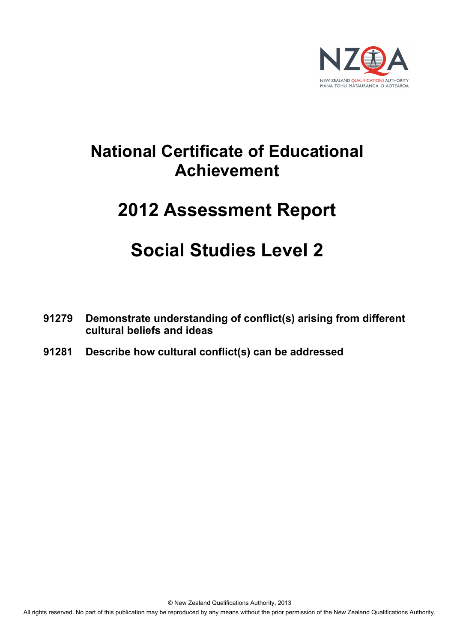

# **National Certificate of Educational Achievement**

# **2012 Assessment Report**

# **Social Studies Level 2**

- **91279 Demonstrate understanding of conflict(s) arising from different cultural beliefs and ideas**
- **91281 Describe how cultural conflict(s) can be addressed**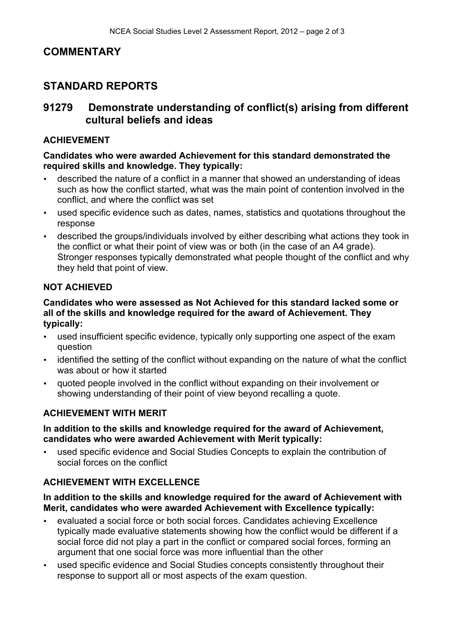# **COMMENTARY**

# **STANDARD REPORTS**

# **91279 Demonstrate understanding of conflict(s) arising from different cultural beliefs and ideas**

## **ACHIEVEMENT**

**Candidates who were awarded Achievement for this standard demonstrated the required skills and knowledge. They typically:**

- described the nature of a conflict in a manner that showed an understanding of ideas such as how the conflict started, what was the main point of contention involved in the conflict, and where the conflict was set
- used specific evidence such as dates, names, statistics and quotations throughout the response
- described the groups/individuals involved by either describing what actions they took in the conflict or what their point of view was or both (in the case of an A4 grade). Stronger responses typically demonstrated what people thought of the conflict and why they held that point of view.

## **NOT ACHIEVED**

#### **Candidates who were assessed as Not Achieved for this standard lacked some or all of the skills and knowledge required for the award of Achievement. They typically:**

- used insufficient specific evidence, typically only supporting one aspect of the exam question
- identified the setting of the conflict without expanding on the nature of what the conflict was about or how it started
- quoted people involved in the conflict without expanding on their involvement or showing understanding of their point of view beyond recalling a quote.

## **ACHIEVEMENT WITH MERIT**

#### **In addition to the skills and knowledge required for the award of Achievement, candidates who were awarded Achievement with Merit typically:**

used specific evidence and Social Studies Concepts to explain the contribution of social forces on the conflict

## **ACHIEVEMENT WITH EXCELLENCE**

#### **In addition to the skills and knowledge required for the award of Achievement with Merit, candidates who were awarded Achievement with Excellence typically:**

- evaluated a social force or both social forces. Candidates achieving Excellence typically made evaluative statements showing how the conflict would be different if a social force did not play a part in the conflict or compared social forces, forming an argument that one social force was more influential than the other
- used specific evidence and Social Studies concepts consistently throughout their response to support all or most aspects of the exam question.